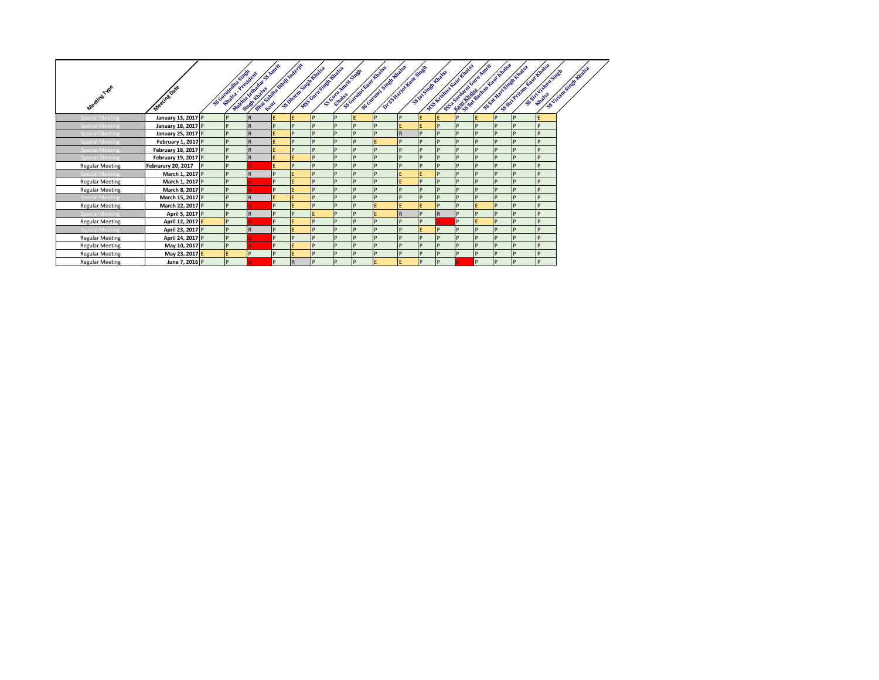|                        |                     |                                          | First contract of the contract of<br>WARNA WARNA S ROCK |   |          |                                               |                   |   |                                                                                        |           |   |                                                  | And the positive day the project<br>Fisch required to the Reef of |    | S.S. Private Leave (Boards) |                   |                     |
|------------------------|---------------------|------------------------------------------|---------------------------------------------------------|---|----------|-----------------------------------------------|-------------------|---|----------------------------------------------------------------------------------------|-----------|---|--------------------------------------------------|-------------------------------------------------------------------|----|-----------------------------|-------------------|---------------------|
| <b>Meeting Type</b>    | Meeting Date        | S. Guitainean Single<br>Khala, President |                                                         |   |          | S-Juvation State Hughs<br>WS CHAP STAR ROWSER | SCORE ARRY STREET |   | Tot St Nature Hoat Street<br>Scottage State Rivers<br>Kingster County Library Richards |           |   | ANS YESHING ROOM AND ROOM<br>S VAT SIMBLE RIVERS |                                                                   |    | S.S.W.W.LSNBr.English       | SSET VIEWS STREET | Sunney Study Brakes |
| <b>Special Meeting</b> | January 13, 2017 P  |                                          | $\mathsf{R}$                                            |   |          | D                                             | D                 |   | P                                                                                      |           |   |                                                  |                                                                   | D  | D                           |                   |                     |
| <b>Special Meeting</b> | January 18, 2017 P  |                                          | R                                                       | D |          | D                                             | P                 | n | D                                                                                      |           |   | P                                                | D                                                                 | ID |                             | D                 |                     |
| <b>Special Meeting</b> | January 25, 2017 P  |                                          | R.                                                      |   |          |                                               | P                 |   |                                                                                        | <b>R</b>  |   | P                                                | D                                                                 |    |                             | <sub>D</sub>      |                     |
| <b>Special Meeting</b> | February 1, 2017 P  |                                          | R.                                                      |   |          | D                                             | P                 |   |                                                                                        |           |   | P                                                | D                                                                 |    |                             | <sub>D</sub>      |                     |
| <b>Special Meeting</b> | February 18, 2017 P |                                          | R                                                       |   |          | D                                             | D                 |   |                                                                                        |           |   | D                                                | D                                                                 |    |                             | <sub>D</sub>      |                     |
| <b>Special Meeting</b> | February 19, 2017 P |                                          | R                                                       |   |          | D                                             | D                 | n | <b>D</b>                                                                               | D         | n | D                                                | D                                                                 | D  | D                           | D                 |                     |
| <b>Regular Meeting</b> | Februrary 20, 2017  |                                          |                                                         |   |          | P                                             | P                 |   | P                                                                                      |           |   | P                                                | P                                                                 |    | l c                         | D                 |                     |
| <b>Special Meeting</b> | March 1, 2017 P     |                                          | R                                                       |   |          | D                                             | P                 |   | D                                                                                      |           |   | P                                                | D                                                                 |    |                             | <sub>D</sub>      |                     |
| <b>Regular Meeting</b> | March 1, 2017 P     |                                          |                                                         | D |          | D                                             | P                 |   | D                                                                                      |           | n | D                                                | D                                                                 |    |                             | D                 |                     |
| <b>Regular Meeting</b> | March 8, 2017 P     | D                                        |                                                         | D |          | D                                             | P                 | n | D                                                                                      | <b>ID</b> | n | D                                                | D                                                                 |    |                             | D                 |                     |
| <b>Special Meeting</b> | March 15, 2017 P    |                                          | $\mathsf{R}$                                            |   |          | D                                             | P                 |   |                                                                                        |           |   | P                                                | P                                                                 |    |                             | D                 |                     |
| <b>Regular Meeting</b> | March 22, 2017 P    |                                          |                                                         | D |          | D                                             | D                 | D |                                                                                        |           |   | D                                                |                                                                   |    |                             | D                 |                     |
| <b>Special Meeting</b> | April 5, 2017 P     | D                                        | R                                                       | D |          |                                               | IP                | n |                                                                                        | <b>R</b>  | D | R                                                | D                                                                 | D  | D                           | P                 |                     |
| <b>Regular Meeting</b> | April 12, 2017 E    | D                                        |                                                         | D |          | D                                             | <b>D</b>          | n | <b>D</b>                                                                               | <b>ID</b> | n |                                                  |                                                                   | D  | D                           | D                 |                     |
| <b>Special Meeting</b> | April 23, 2017 P    |                                          | R                                                       | n |          | P                                             | IP                | D | P                                                                                      | D         |   | P                                                | P                                                                 |    |                             | D                 |                     |
| <b>Regular Meeting</b> | April 24, 2017 P    |                                          |                                                         | D |          | D                                             | D                 | n | D                                                                                      | D         | D | P                                                | D                                                                 |    | D                           | D                 |                     |
| <b>Regular Meeting</b> | May 10, 2017 P      |                                          |                                                         | D |          | D                                             | P                 | n | D                                                                                      | <b>ID</b> | n | P                                                | D                                                                 | ID | D                           | D                 |                     |
| <b>Regular Meeting</b> | May 23, 2017 E      |                                          | D                                                       |   |          | D                                             | P                 | n | D                                                                                      | D         | D | P                                                | D                                                                 | IP |                             | D                 |                     |
| <b>Regular Meeting</b> | June 7, 2016 P      | D                                        |                                                         | n | <b>R</b> |                                               | D                 | n |                                                                                        |           | D | D                                                | D                                                                 | In |                             | D                 |                     |